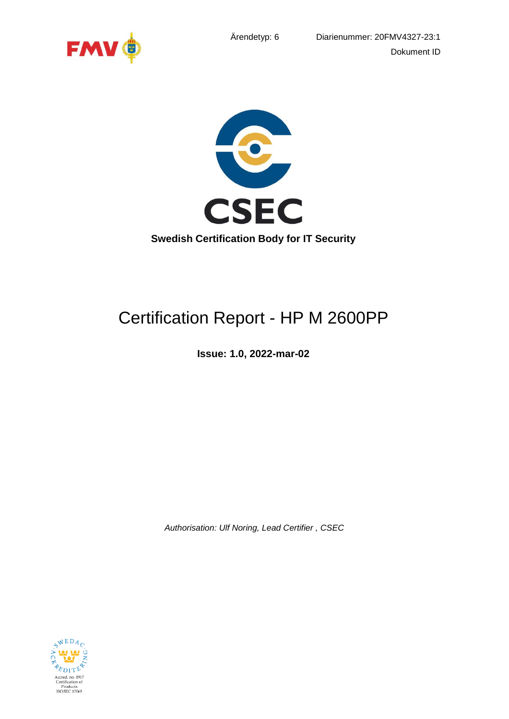



# Certification Report - HP M 2600PP

**Issue: 1.0, 2022-mar-02**

*Authorisation: Ulf Noring, Lead Certifier , CSEC*

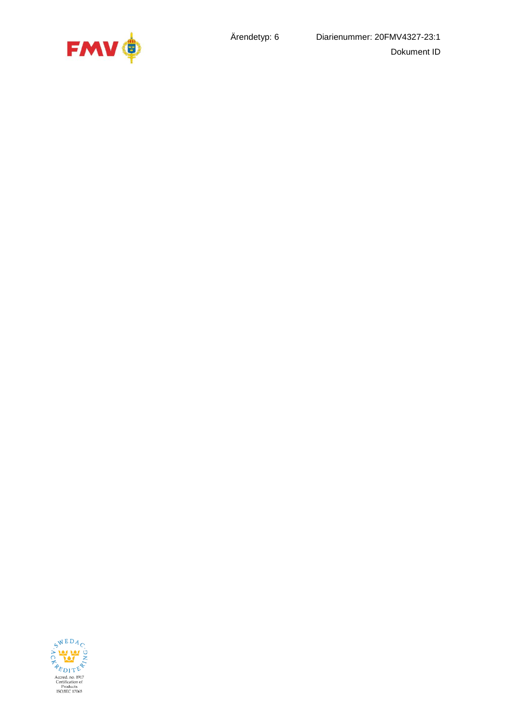



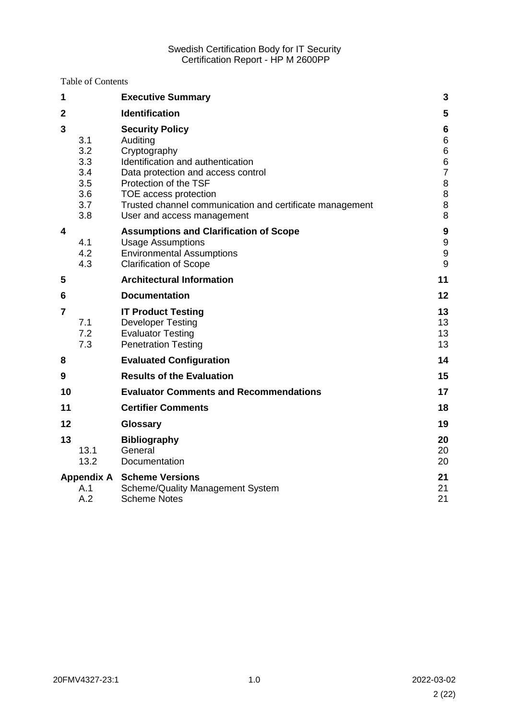Table of Contents

| 1              |                                                      | <b>Executive Summary</b>                                                                                                                                                                                                                                                  | 3                                                                                             |
|----------------|------------------------------------------------------|---------------------------------------------------------------------------------------------------------------------------------------------------------------------------------------------------------------------------------------------------------------------------|-----------------------------------------------------------------------------------------------|
| $\mathbf{2}$   |                                                      | <b>Identification</b>                                                                                                                                                                                                                                                     | 5                                                                                             |
| 3              | 3.1<br>3.2<br>3.3<br>3.4<br>3.5<br>3.6<br>3.7<br>3.8 | <b>Security Policy</b><br>Auditing<br>Cryptography<br>Identification and authentication<br>Data protection and access control<br>Protection of the TSF<br>TOE access protection<br>Trusted channel communication and certificate management<br>User and access management | $6\phantom{1}$<br>$\,6\,$<br>$\,6$<br>$\,6$<br>$\overline{7}$<br>$\bf 8$<br>$\bf 8$<br>8<br>8 |
| 4              | 4.1<br>4.2<br>4.3                                    | <b>Assumptions and Clarification of Scope</b><br><b>Usage Assumptions</b><br><b>Environmental Assumptions</b><br><b>Clarification of Scope</b>                                                                                                                            | $\boldsymbol{9}$<br>$\overline{9}$<br>9<br>9                                                  |
| 5              |                                                      | <b>Architectural Information</b>                                                                                                                                                                                                                                          | 11                                                                                            |
| 6              |                                                      | <b>Documentation</b>                                                                                                                                                                                                                                                      | 12                                                                                            |
| $\overline{7}$ | 7.1<br>7.2<br>7.3                                    | <b>IT Product Testing</b><br><b>Developer Testing</b><br><b>Evaluator Testing</b><br><b>Penetration Testing</b>                                                                                                                                                           | 13<br>13<br>13<br>13                                                                          |
| 8              |                                                      | <b>Evaluated Configuration</b>                                                                                                                                                                                                                                            | 14                                                                                            |
| 9              |                                                      | <b>Results of the Evaluation</b>                                                                                                                                                                                                                                          | 15                                                                                            |
| 10             |                                                      | <b>Evaluator Comments and Recommendations</b>                                                                                                                                                                                                                             | 17                                                                                            |
| 11             |                                                      | <b>Certifier Comments</b>                                                                                                                                                                                                                                                 | 18                                                                                            |
| 12             |                                                      | <b>Glossary</b>                                                                                                                                                                                                                                                           | 19                                                                                            |
| 13             | 13.1<br>13.2                                         | <b>Bibliography</b><br>General<br>Documentation                                                                                                                                                                                                                           | 20<br>20<br>20                                                                                |
|                | <b>Appendix A</b><br>A.1<br>A.2                      | <b>Scheme Versions</b><br><b>Scheme/Quality Management System</b><br><b>Scheme Notes</b>                                                                                                                                                                                  | 21<br>21<br>21                                                                                |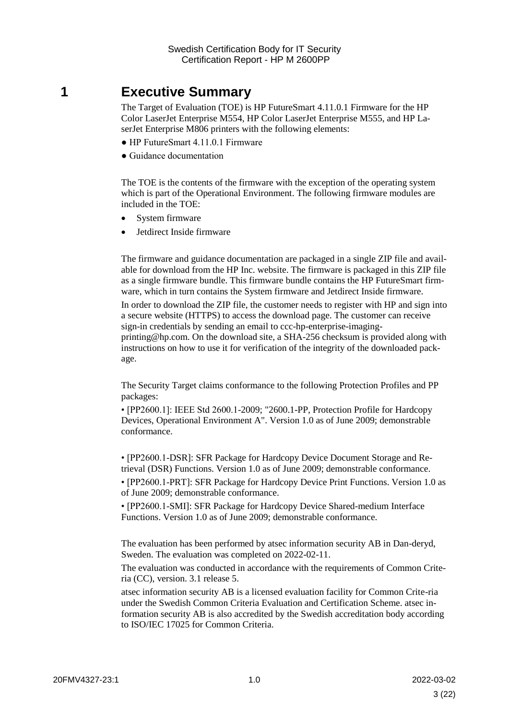# <span id="page-3-0"></span>**1 Executive Summary**

The Target of Evaluation (TOE) is HP FutureSmart 4.11.0.1 Firmware for the HP Color LaserJet Enterprise M554, HP Color LaserJet Enterprise M555, and HP LaserJet Enterprise M806 printers with the following elements:

- HP FutureSmart 4.11.0.1 Firmware
- Guidance documentation

The TOE is the contents of the firmware with the exception of the operating system which is part of the Operational Environment. The following firmware modules are included in the TOE:

• System firmware

age.

Jetdirect Inside firmware

The firmware and guidance documentation are packaged in a single ZIP file and available for download from the HP Inc. website. The firmware is packaged in this ZIP file as a single firmware bundle. This firmware bundle contains the HP FutureSmart firmware, which in turn contains the System firmware and Jetdirect Inside firmware.

In order to download the ZIP file, the customer needs to register with HP and sign into a secure website (HTTPS) to access the download page. The customer can receive sign-in credentials by sending an email to ccc-hp-enterprise-imagingprinting@hp.com. On the download site, a SHA-256 checksum is provided along with instructions on how to use it for verification of the integrity of the downloaded pack-

The Security Target claims conformance to the following Protection Profiles and PP packages:

• [PP2600.1]: IEEE Std 2600.1-2009; "2600.1-PP, Protection Profile for Hardcopy Devices, Operational Environment A". Version 1.0 as of June 2009; demonstrable conformance.

• [PP2600.1-DSR]: SFR Package for Hardcopy Device Document Storage and Retrieval (DSR) Functions. Version 1.0 as of June 2009; demonstrable conformance.

• [PP2600.1-PRT]: SFR Package for Hardcopy Device Print Functions. Version 1.0 as of June 2009; demonstrable conformance.

• [PP2600.1-SMI]: SFR Package for Hardcopy Device Shared-medium Interface Functions. Version 1.0 as of June 2009; demonstrable conformance.

The evaluation has been performed by atsec information security AB in Dan-deryd, Sweden. The evaluation was completed on 2022-02-11.

The evaluation was conducted in accordance with the requirements of Common Criteria (CC), version. 3.1 release 5.

atsec information security AB is a licensed evaluation facility for Common Crite-ria under the Swedish Common Criteria Evaluation and Certification Scheme. atsec information security AB is also accredited by the Swedish accreditation body according to ISO/IEC 17025 for Common Criteria.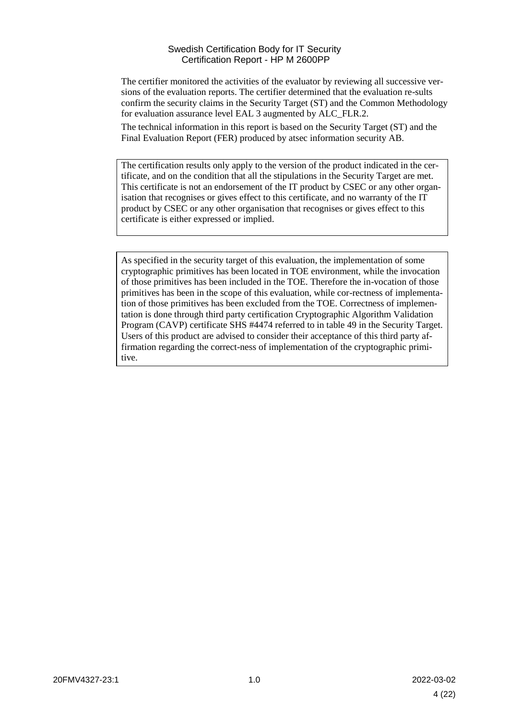The certifier monitored the activities of the evaluator by reviewing all successive versions of the evaluation reports. The certifier determined that the evaluation re-sults confirm the security claims in the Security Target (ST) and the Common Methodology for evaluation assurance level EAL 3 augmented by ALC\_FLR.2.

The technical information in this report is based on the Security Target (ST) and the Final Evaluation Report (FER) produced by atsec information security AB.

The certification results only apply to the version of the product indicated in the certificate, and on the condition that all the stipulations in the Security Target are met. This certificate is not an endorsement of the IT product by CSEC or any other organisation that recognises or gives effect to this certificate, and no warranty of the IT product by CSEC or any other organisation that recognises or gives effect to this certificate is either expressed or implied.

As specified in the security target of this evaluation, the implementation of some cryptographic primitives has been located in TOE environment, while the invocation of those primitives has been included in the TOE. Therefore the in-vocation of those primitives has been in the scope of this evaluation, while cor-rectness of implementation of those primitives has been excluded from the TOE. Correctness of implementation is done through third party certification Cryptographic Algorithm Validation Program (CAVP) certificate SHS #4474 referred to in table 49 in the Security Target. Users of this product are advised to consider their acceptance of this third party affirmation regarding the correct-ness of implementation of the cryptographic primitive.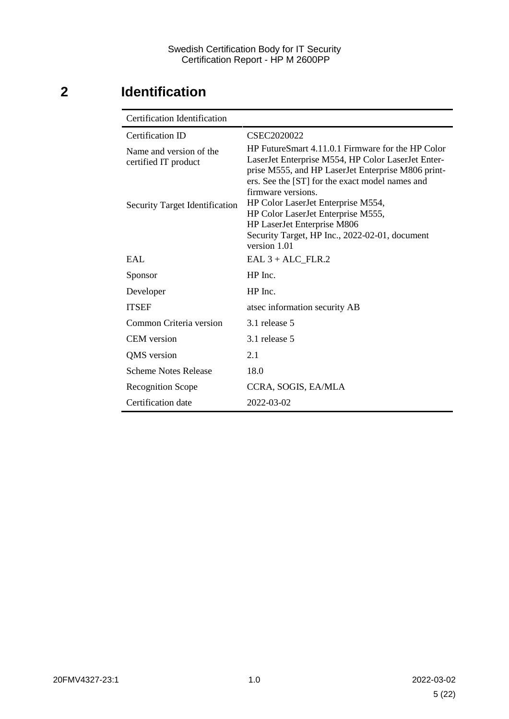# <span id="page-5-0"></span>**2 Identification**

| <b>Certification Identification</b>             |                                                                                                                                                                                                                                        |  |  |
|-------------------------------------------------|----------------------------------------------------------------------------------------------------------------------------------------------------------------------------------------------------------------------------------------|--|--|
| Certification ID                                | CSEC2020022                                                                                                                                                                                                                            |  |  |
| Name and version of the<br>certified IT product | HP FutureSmart 4.11.0.1 Firmware for the HP Color<br>LaserJet Enterprise M554, HP Color LaserJet Enter-<br>prise M555, and HP LaserJet Enterprise M806 print-<br>ers. See the [ST] for the exact model names and<br>firmware versions. |  |  |
| <b>Security Target Identification</b>           | HP Color LaserJet Enterprise M554,<br>HP Color LaserJet Enterprise M555,<br>HP LaserJet Enterprise M806<br>Security Target, HP Inc., 2022-02-01, document<br>version 1.01                                                              |  |  |
| EAI.                                            | $EAL 3 + ALC$ FLR.2                                                                                                                                                                                                                    |  |  |
| Sponsor                                         | HP Inc.                                                                                                                                                                                                                                |  |  |
| Developer                                       | HP Inc.                                                                                                                                                                                                                                |  |  |
| <b>ITSEF</b>                                    | atsec information security AB                                                                                                                                                                                                          |  |  |
| Common Criteria version                         | 3.1 release 5                                                                                                                                                                                                                          |  |  |
| <b>CEM</b> version                              | 3.1 release 5                                                                                                                                                                                                                          |  |  |
| QMS version                                     | 2.1                                                                                                                                                                                                                                    |  |  |
| <b>Scheme Notes Release</b>                     | 18.0                                                                                                                                                                                                                                   |  |  |
| <b>Recognition Scope</b>                        | CCRA, SOGIS, EA/MLA                                                                                                                                                                                                                    |  |  |
| Certification date                              | 2022-03-02                                                                                                                                                                                                                             |  |  |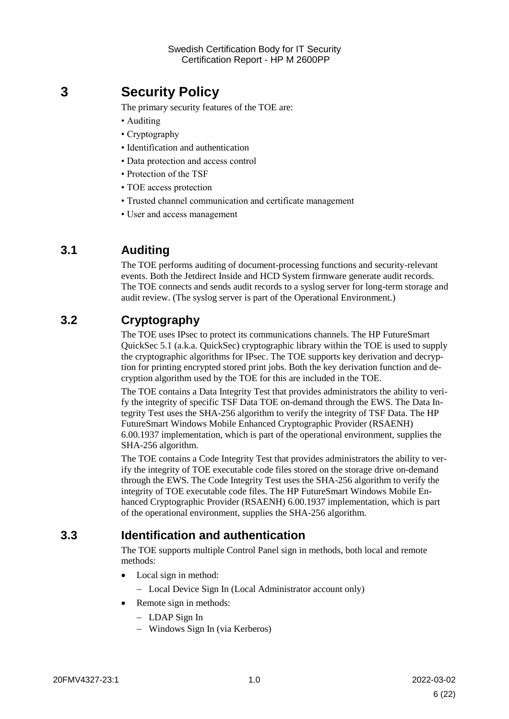# <span id="page-6-0"></span>**3 Security Policy**

The primary security features of the TOE are:

- Auditing
- Cryptography
- Identification and authentication
- Data protection and access control
- Protection of the TSF
- TOE access protection
- Trusted channel communication and certificate management
- User and access management

### <span id="page-6-1"></span>**3.1 Auditing**

The TOE performs auditing of document-processing functions and security-relevant events. Both the Jetdirect Inside and HCD System firmware generate audit records. The TOE connects and sends audit records to a syslog server for long-term storage and audit review. (The syslog server is part of the Operational Environment.)

## <span id="page-6-2"></span>**3.2 Cryptography**

The TOE uses IPsec to protect its communications channels. The HP FutureSmart QuickSec 5.1 (a.k.a. QuickSec) cryptographic library within the TOE is used to supply the cryptographic algorithms for IPsec. The TOE supports key derivation and decryption for printing encrypted stored print jobs. Both the key derivation function and decryption algorithm used by the TOE for this are included in the TOE.

The TOE contains a Data Integrity Test that provides administrators the ability to verify the integrity of specific TSF Data TOE on-demand through the EWS. The Data Integrity Test uses the SHA-256 algorithm to verify the integrity of TSF Data. The HP FutureSmart Windows Mobile Enhanced Cryptographic Provider (RSAENH) 6.00.1937 implementation, which is part of the operational environment, supplies the SHA-256 algorithm.

The TOE contains a Code Integrity Test that provides administrators the ability to verify the integrity of TOE executable code files stored on the storage drive on-demand through the EWS. The Code Integrity Test uses the SHA-256 algorithm to verify the integrity of TOE executable code files. The HP FutureSmart Windows Mobile Enhanced Cryptographic Provider (RSAENH) 6.00.1937 implementation, which is part of the operational environment, supplies the SHA-256 algorithm.

### <span id="page-6-3"></span>**3.3 Identification and authentication**

The TOE supports multiple Control Panel sign in methods, both local and remote methods:

- Local sign in method:
	- Local Device Sign In (Local Administrator account only)
- Remote sign in methods:
	- LDAP Sign In
	- Windows Sign In (via Kerberos)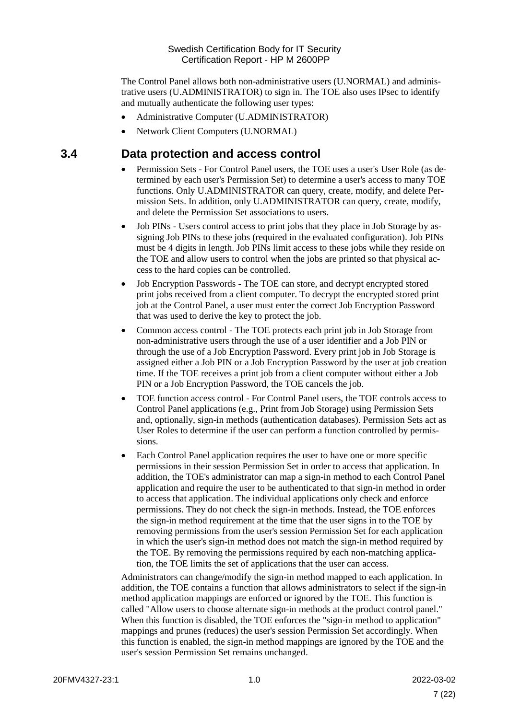The Control Panel allows both non-administrative users (U.NORMAL) and administrative users (U.ADMINISTRATOR) to sign in. The TOE also uses IPsec to identify and mutually authenticate the following user types:

- Administrative Computer (U.ADMINISTRATOR)
- Network Client Computers (U.NORMAL)

### <span id="page-7-0"></span>**3.4 Data protection and access control**

- Permission Sets For Control Panel users, the TOE uses a user's User Role (as determined by each user's Permission Set) to determine a user's access to many TOE functions. Only U.ADMINISTRATOR can query, create, modify, and delete Permission Sets. In addition, only U.ADMINISTRATOR can query, create, modify, and delete the Permission Set associations to users.
- Job PINs Users control access to print jobs that they place in Job Storage by assigning Job PINs to these jobs (required in the evaluated configuration). Job PINs must be 4 digits in length. Job PINs limit access to these jobs while they reside on the TOE and allow users to control when the jobs are printed so that physical access to the hard copies can be controlled.
- Job Encryption Passwords The TOE can store, and decrypt encrypted stored print jobs received from a client computer. To decrypt the encrypted stored print job at the Control Panel, a user must enter the correct Job Encryption Password that was used to derive the key to protect the job.
- Common access control The TOE protects each print job in Job Storage from non-administrative users through the use of a user identifier and a Job PIN or through the use of a Job Encryption Password. Every print job in Job Storage is assigned either a Job PIN or a Job Encryption Password by the user at job creation time. If the TOE receives a print job from a client computer without either a Job PIN or a Job Encryption Password, the TOE cancels the job.
- TOE function access control For Control Panel users, the TOE controls access to Control Panel applications (e.g., Print from Job Storage) using Permission Sets and, optionally, sign-in methods (authentication databases). Permission Sets act as User Roles to determine if the user can perform a function controlled by permissions.
- Each Control Panel application requires the user to have one or more specific permissions in their session Permission Set in order to access that application. In addition, the TOE's administrator can map a sign-in method to each Control Panel application and require the user to be authenticated to that sign-in method in order to access that application. The individual applications only check and enforce permissions. They do not check the sign-in methods. Instead, the TOE enforces the sign-in method requirement at the time that the user signs in to the TOE by removing permissions from the user's session Permission Set for each application in which the user's sign-in method does not match the sign-in method required by the TOE. By removing the permissions required by each non-matching application, the TOE limits the set of applications that the user can access.

Administrators can change/modify the sign-in method mapped to each application. In addition, the TOE contains a function that allows administrators to select if the sign-in method application mappings are enforced or ignored by the TOE. This function is called "Allow users to choose alternate sign-in methods at the product control panel." When this function is disabled, the TOE enforces the "sign-in method to application" mappings and prunes (reduces) the user's session Permission Set accordingly. When this function is enabled, the sign-in method mappings are ignored by the TOE and the user's session Permission Set remains unchanged.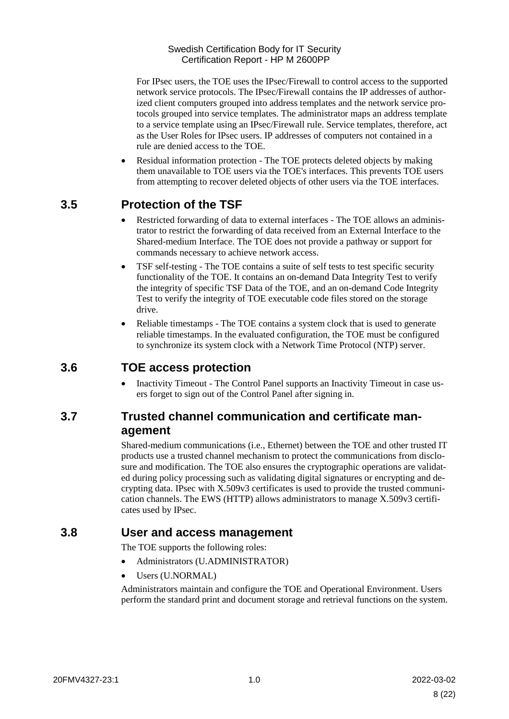For IPsec users, the TOE uses the IPsec/Firewall to control access to the supported network service protocols. The IPsec/Firewall contains the IP addresses of authorized client computers grouped into address templates and the network service protocols grouped into service templates. The administrator maps an address template to a service template using an IPsec/Firewall rule. Service templates, therefore, act as the User Roles for IPsec users. IP addresses of computers not contained in a rule are denied access to the TOE.

 Residual information protection - The TOE protects deleted objects by making them unavailable to TOE users via the TOE's interfaces. This prevents TOE users from attempting to recover deleted objects of other users via the TOE interfaces.

### <span id="page-8-0"></span>**3.5 Protection of the TSF**

- Restricted forwarding of data to external interfaces The TOE allows an administrator to restrict the forwarding of data received from an External Interface to the Shared-medium Interface. The TOE does not provide a pathway or support for commands necessary to achieve network access.
- TSF self-testing The TOE contains a suite of self tests to test specific security functionality of the TOE. It contains an on-demand Data Integrity Test to verify the integrity of specific TSF Data of the TOE, and an on-demand Code Integrity Test to verify the integrity of TOE executable code files stored on the storage drive.
- Reliable timestamps The TOE contains a system clock that is used to generate reliable timestamps. In the evaluated configuration, the TOE must be configured to synchronize its system clock with a Network Time Protocol (NTP) server.

### <span id="page-8-1"></span>**3.6 TOE access protection**

 Inactivity Timeout - The Control Panel supports an Inactivity Timeout in case users forget to sign out of the Control Panel after signing in.

### <span id="page-8-2"></span>**3.7 Trusted channel communication and certificate management**

Shared-medium communications (i.e., Ethernet) between the TOE and other trusted IT products use a trusted channel mechanism to protect the communications from disclosure and modification. The TOE also ensures the cryptographic operations are validated during policy processing such as validating digital signatures or encrypting and decrypting data. IPsec with X.509v3 certificates is used to provide the trusted communication channels. The EWS (HTTP) allows administrators to manage X.509v3 certificates used by IPsec.

### <span id="page-8-3"></span>**3.8 User and access management**

The TOE supports the following roles:

- Administrators (U.ADMINISTRATOR)
- Users (U.NORMAL)

Administrators maintain and configure the TOE and Operational Environment. Users perform the standard print and document storage and retrieval functions on the system.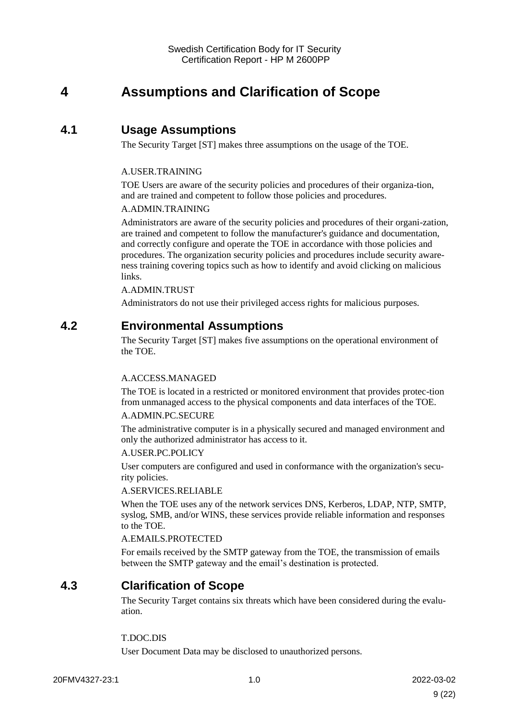# <span id="page-9-0"></span>**4 Assumptions and Clarification of Scope**

### <span id="page-9-1"></span>**4.1 Usage Assumptions**

The Security Target [ST] makes three assumptions on the usage of the TOE.

#### A.USER.TRAINING

TOE Users are aware of the security policies and procedures of their organiza-tion, and are trained and competent to follow those policies and procedures.

#### A.ADMIN.TRAINING

Administrators are aware of the security policies and procedures of their organi-zation, are trained and competent to follow the manufacturer's guidance and documentation, and correctly configure and operate the TOE in accordance with those policies and procedures. The organization security policies and procedures include security awareness training covering topics such as how to identify and avoid clicking on malicious links.

#### A.ADMIN.TRUST

Administrators do not use their privileged access rights for malicious purposes.

### <span id="page-9-2"></span>**4.2 Environmental Assumptions**

The Security Target [ST] makes five assumptions on the operational environment of the TOE.

#### A.ACCESS.MANAGED

The TOE is located in a restricted or monitored environment that provides protec-tion from unmanaged access to the physical components and data interfaces of the TOE.

#### A.ADMIN.PC.SECURE

The administrative computer is in a physically secured and managed environment and only the authorized administrator has access to it.

#### A.USER.PC.POLICY

User computers are configured and used in conformance with the organization's security policies.

#### A.SERVICES.RELIABLE

When the TOE uses any of the network services DNS, Kerberos, LDAP, NTP, SMTP, syslog, SMB, and/or WINS, these services provide reliable information and responses to the TOE.

#### A.EMAILS.PROTECTED

For emails received by the SMTP gateway from the TOE, the transmission of emails between the SMTP gateway and the email's destination is protected.

### <span id="page-9-3"></span>**4.3 Clarification of Scope**

The Security Target contains six threats which have been considered during the evaluation.

#### T.DOC.DIS

User Document Data may be disclosed to unauthorized persons.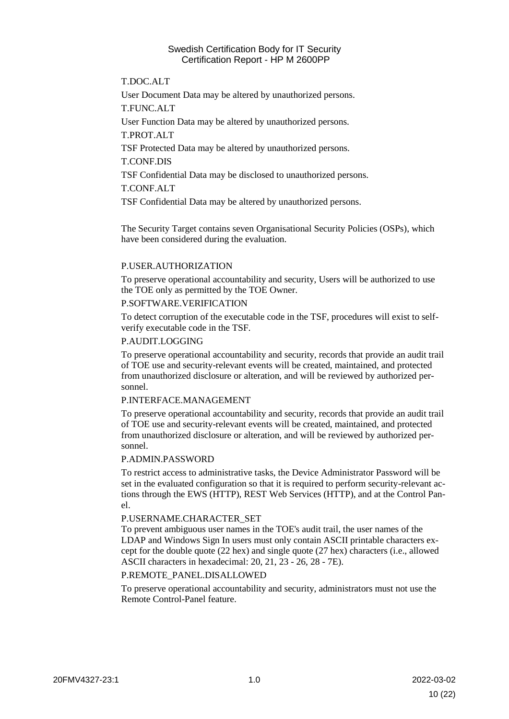#### T.DOC.ALT

User Document Data may be altered by unauthorized persons.

T.FUNC.ALT

User Function Data may be altered by unauthorized persons.

T.PROT.ALT

TSF Protected Data may be altered by unauthorized persons.

T.CONF.DIS

TSF Confidential Data may be disclosed to unauthorized persons.

T.CONF.ALT

TSF Confidential Data may be altered by unauthorized persons.

The Security Target contains seven Organisational Security Policies (OSPs), which have been considered during the evaluation.

#### P.USER.AUTHORIZATION

To preserve operational accountability and security, Users will be authorized to use the TOE only as permitted by the TOE Owner.

#### P.SOFTWARE.VERIFICATION

To detect corruption of the executable code in the TSF, procedures will exist to selfverify executable code in the TSF.

#### P.AUDIT.LOGGING

To preserve operational accountability and security, records that provide an audit trail of TOE use and security-relevant events will be created, maintained, and protected from unauthorized disclosure or alteration, and will be reviewed by authorized personnel.

#### P.INTERFACE.MANAGEMENT

To preserve operational accountability and security, records that provide an audit trail of TOE use and security-relevant events will be created, maintained, and protected from unauthorized disclosure or alteration, and will be reviewed by authorized personnel.

#### P.ADMIN.PASSWORD

To restrict access to administrative tasks, the Device Administrator Password will be set in the evaluated configuration so that it is required to perform security-relevant actions through the EWS (HTTP), REST Web Services (HTTP), and at the Control Panel.

#### P.USERNAME.CHARACTER\_SET

To prevent ambiguous user names in the TOE's audit trail, the user names of the LDAP and Windows Sign In users must only contain ASCII printable characters except for the double quote (22 hex) and single quote (27 hex) characters (i.e., allowed ASCII characters in hexadecimal: 20, 21, 23 - 26, 28 - 7E).

#### P.REMOTE\_PANEL.DISALLOWED

To preserve operational accountability and security, administrators must not use the Remote Control-Panel feature.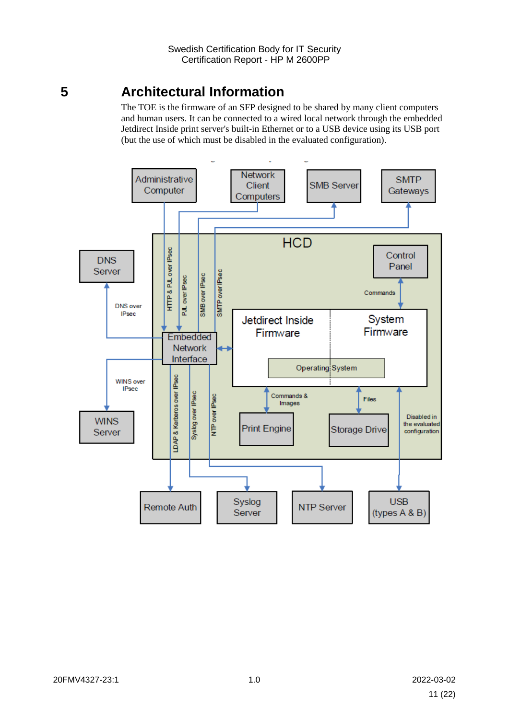# <span id="page-11-0"></span>**5 Architectural Information**

The TOE is the firmware of an SFP designed to be shared by many client computers and human users. It can be connected to a wired local network through the embedded Jetdirect Inside print server's built-in Ethernet or to a USB device using its USB port (but the use of which must be disabled in the evaluated configuration).

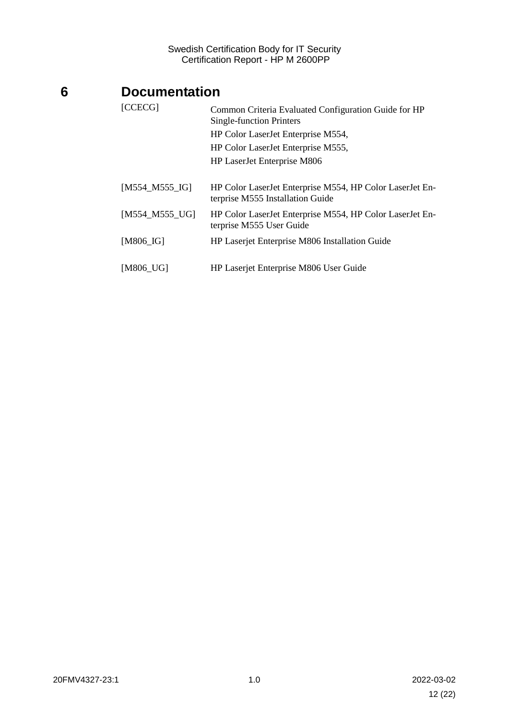## <span id="page-12-0"></span>**6 Documentation**

| <b>[CCECG]</b> | Common Criteria Evaluated Configuration Guide for HP<br>Single-function Printers<br>HP Color LaserJet Enterprise M554,<br>HP Color LaserJet Enterprise M555, |  |
|----------------|--------------------------------------------------------------------------------------------------------------------------------------------------------------|--|
|                | HP LaserJet Enterprise M806                                                                                                                                  |  |
| [M554 M555 IG] | HP Color LaserJet Enterprise M554, HP Color LaserJet En-<br>terprise M555 Installation Guide                                                                 |  |
| [M554 M555 UG] | HP Color LaserJet Enterprise M554, HP Color LaserJet En-<br>terprise M555 User Guide                                                                         |  |
| [M806 IG]      | HP Laserjet Enterprise M806 Installation Guide                                                                                                               |  |
| [M806 UG]      | HP Laserjet Enterprise M806 User Guide                                                                                                                       |  |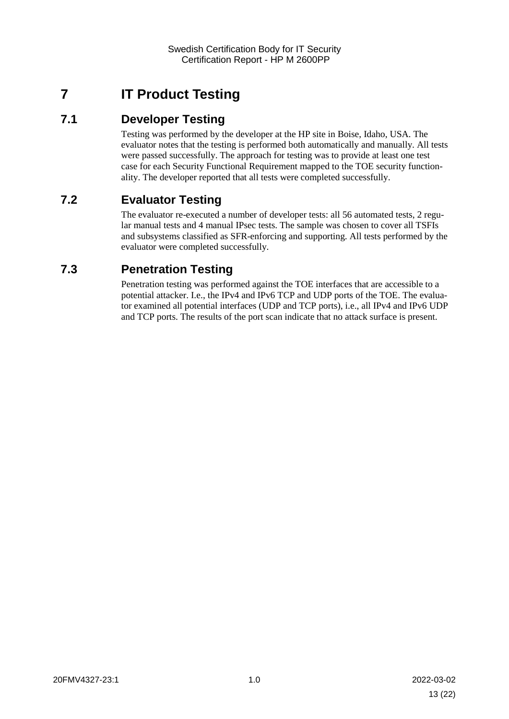# <span id="page-13-0"></span>**7 IT Product Testing**

### <span id="page-13-1"></span>**7.1 Developer Testing**

Testing was performed by the developer at the HP site in Boise, Idaho, USA. The evaluator notes that the testing is performed both automatically and manually. All tests were passed successfully. The approach for testing was to provide at least one test case for each Security Functional Requirement mapped to the TOE security functionality. The developer reported that all tests were completed successfully.

## <span id="page-13-2"></span>**7.2 Evaluator Testing**

The evaluator re-executed a number of developer tests: all 56 automated tests, 2 regular manual tests and 4 manual IPsec tests. The sample was chosen to cover all TSFIs and subsystems classified as SFR-enforcing and supporting. All tests performed by the evaluator were completed successfully.

## <span id="page-13-3"></span>**7.3 Penetration Testing**

Penetration testing was performed against the TOE interfaces that are accessible to a potential attacker. I.e., the IPv4 and IPv6 TCP and UDP ports of the TOE. The evaluator examined all potential interfaces (UDP and TCP ports), i.e., all IPv4 and IPv6 UDP and TCP ports. The results of the port scan indicate that no attack surface is present.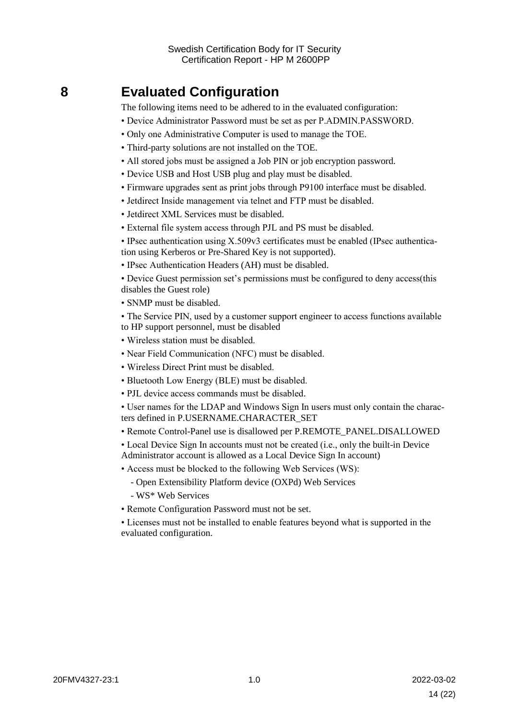# <span id="page-14-0"></span>**8 Evaluated Configuration**

The following items need to be adhered to in the evaluated configuration:

- Device Administrator Password must be set as per P.ADMIN.PASSWORD.
- Only one Administrative Computer is used to manage the TOE.
- Third-party solutions are not installed on the TOE.
- All stored jobs must be assigned a Job PIN or job encryption password.
- Device USB and Host USB plug and play must be disabled.
- Firmware upgrades sent as print jobs through P9100 interface must be disabled.
- Jetdirect Inside management via telnet and FTP must be disabled.
- Jetdirect XML Services must be disabled.
- External file system access through PJL and PS must be disabled.

• IPsec authentication using X.509v3 certificates must be enabled (IPsec authentication using Kerberos or Pre-Shared Key is not supported).

• IPsec Authentication Headers (AH) must be disabled.

• Device Guest permission set's permissions must be configured to deny access(this disables the Guest role)

• SNMP must be disabled.

• The Service PIN, used by a customer support engineer to access functions available to HP support personnel, must be disabled

- Wireless station must be disabled.
- Near Field Communication (NFC) must be disabled.
- Wireless Direct Print must be disabled.
- Bluetooth Low Energy (BLE) must be disabled.
- PJL device access commands must be disabled.

• User names for the LDAP and Windows Sign In users must only contain the characters defined in P.USERNAME.CHARACTER\_SET

- Remote Control-Panel use is disallowed per P.REMOTE\_PANEL.DISALLOWED
- Local Device Sign In accounts must not be created (i.e., only the built-in Device Administrator account is allowed as a Local Device Sign In account)
- Access must be blocked to the following Web Services (WS):
	- Open Extensibility Platform device (OXPd) Web Services
	- WS\* Web Services
- Remote Configuration Password must not be set.

• Licenses must not be installed to enable features beyond what is supported in the evaluated configuration.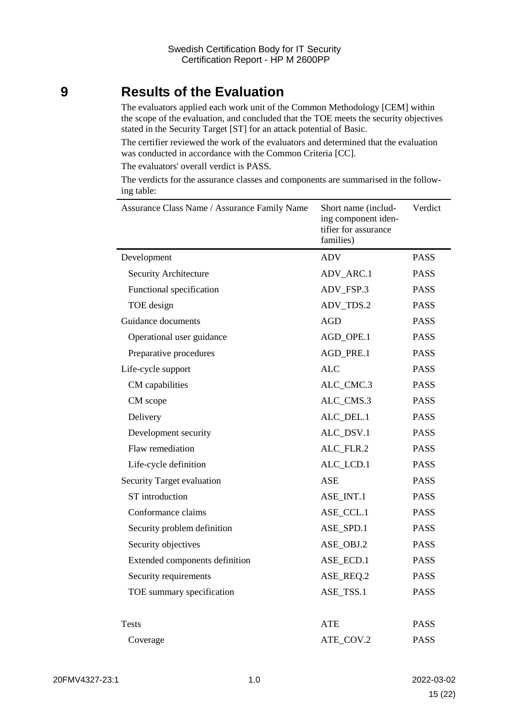# <span id="page-15-0"></span>**9 Results of the Evaluation**

The evaluators applied each work unit of the Common Methodology [CEM] within the scope of the evaluation, and concluded that the TOE meets the security objectives stated in the Security Target [ST] for an attack potential of Basic.

The certifier reviewed the work of the evaluators and determined that the evaluation was conducted in accordance with the Common Criteria [CC].

The evaluators' overall verdict is PASS.

The verdicts for the assurance classes and components are summarised in the following table:

| <b>Assurance Class Name / Assurance Family Name</b> | Short name (includ-<br>ing component iden-<br>tifier for assurance<br>families) | Verdict     |
|-----------------------------------------------------|---------------------------------------------------------------------------------|-------------|
| Development                                         | <b>ADV</b>                                                                      | <b>PASS</b> |
| Security Architecture                               | ADV_ARC.1                                                                       | <b>PASS</b> |
| Functional specification                            | ADV_FSP.3                                                                       | <b>PASS</b> |
| TOE design                                          | ADV_TDS.2                                                                       | <b>PASS</b> |
| Guidance documents                                  | <b>AGD</b>                                                                      | <b>PASS</b> |
| Operational user guidance                           | AGD_OPE.1                                                                       | <b>PASS</b> |
| Preparative procedures                              | AGD_PRE.1                                                                       | <b>PASS</b> |
| Life-cycle support                                  | <b>ALC</b>                                                                      | <b>PASS</b> |
| CM capabilities                                     | ALC_CMC.3                                                                       | <b>PASS</b> |
| CM scope                                            | ALC_CMS.3                                                                       | <b>PASS</b> |
| Delivery                                            | ALC_DEL.1                                                                       | <b>PASS</b> |
| Development security                                | ALC_DSV.1                                                                       | <b>PASS</b> |
| Flaw remediation                                    | ALC_FLR.2                                                                       | <b>PASS</b> |
| Life-cycle definition                               | ALC_LCD.1                                                                       | <b>PASS</b> |
| Security Target evaluation                          | <b>ASE</b>                                                                      | <b>PASS</b> |
| ST introduction                                     | ASE_INT.1                                                                       | <b>PASS</b> |
| Conformance claims                                  | ASE_CCL.1                                                                       | <b>PASS</b> |
| Security problem definition                         | ASE_SPD.1                                                                       | <b>PASS</b> |
| Security objectives                                 | ASE_OBJ.2                                                                       | <b>PASS</b> |
| Extended components definition                      | ASE_ECD.1                                                                       | <b>PASS</b> |
| Security requirements                               | ASE_REQ.2                                                                       | <b>PASS</b> |
| TOE summary specification                           | ASE_TSS.1                                                                       | <b>PASS</b> |
| Tests                                               | <b>ATE</b>                                                                      | <b>PASS</b> |
| Coverage                                            | ATE_COV.2                                                                       | <b>PASS</b> |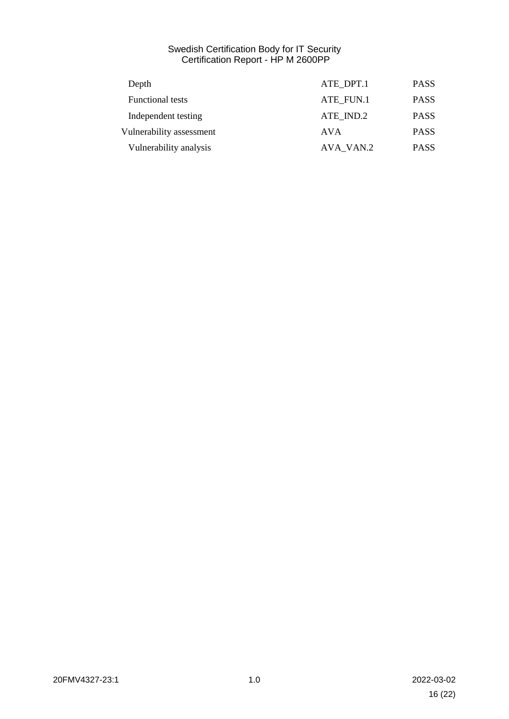| Depth                    | ATE DPT.1 | <b>PASS</b> |
|--------------------------|-----------|-------------|
| <b>Functional tests</b>  | ATE FUN.1 | <b>PASS</b> |
| Independent testing      | ATE IND.2 | <b>PASS</b> |
| Vulnerability assessment | AVA       | <b>PASS</b> |
| Vulnerability analysis   | AVA VAN.2 | <b>PASS</b> |
|                          |           |             |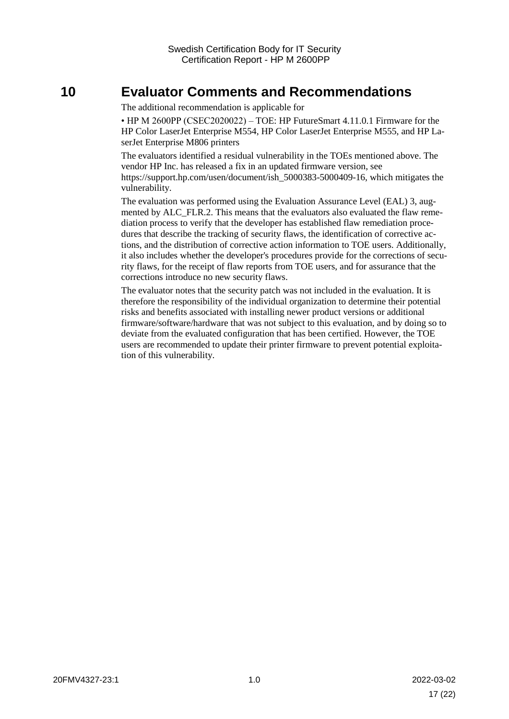# <span id="page-17-0"></span>**10 Evaluator Comments and Recommendations**

The additional recommendation is applicable for

• HP M 2600PP (CSEC2020022) – TOE: HP FutureSmart 4.11.0.1 Firmware for the HP Color LaserJet Enterprise M554, HP Color LaserJet Enterprise M555, and HP LaserJet Enterprise M806 printers

The evaluators identified a residual vulnerability in the TOEs mentioned above. The vendor HP Inc. has released a fix in an updated firmware version, see https://support.hp.com/usen/document/ish\_5000383-5000409-16, which mitigates the vulnerability.

The evaluation was performed using the Evaluation Assurance Level (EAL) 3, augmented by ALC\_FLR.2. This means that the evaluators also evaluated the flaw remediation process to verify that the developer has established flaw remediation procedures that describe the tracking of security flaws, the identification of corrective actions, and the distribution of corrective action information to TOE users. Additionally, it also includes whether the developer's procedures provide for the corrections of security flaws, for the receipt of flaw reports from TOE users, and for assurance that the corrections introduce no new security flaws.

The evaluator notes that the security patch was not included in the evaluation. It is therefore the responsibility of the individual organization to determine their potential risks and benefits associated with installing newer product versions or additional firmware/software/hardware that was not subject to this evaluation, and by doing so to deviate from the evaluated configuration that has been certified. However, the TOE users are recommended to update their printer firmware to prevent potential exploitation of this vulnerability.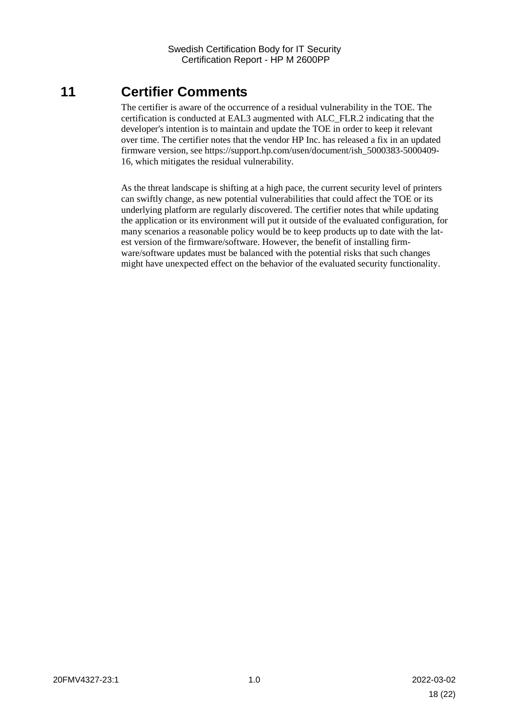# <span id="page-18-0"></span>**11 Certifier Comments**

The certifier is aware of the occurrence of a residual vulnerability in the TOE. The certification is conducted at EAL3 augmented with ALC\_FLR.2 indicating that the developer's intention is to maintain and update the TOE in order to keep it relevant over time. The certifier notes that the vendor HP Inc. has released a fix in an updated firmware version, see https://support.hp.com/usen/document/ish\_5000383-5000409- 16, which mitigates the residual vulnerability.

As the threat landscape is shifting at a high pace, the current security level of printers can swiftly change, as new potential vulnerabilities that could affect the TOE or its underlying platform are regularly discovered. The certifier notes that while updating the application or its environment will put it outside of the evaluated configuration, for many scenarios a reasonable policy would be to keep products up to date with the latest version of the firmware/software. However, the benefit of installing firmware/software updates must be balanced with the potential risks that such changes might have unexpected effect on the behavior of the evaluated security functionality.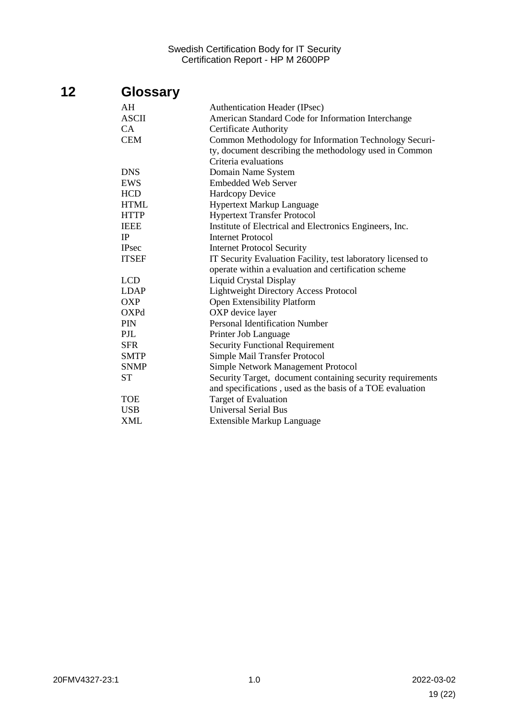# <span id="page-19-0"></span>**12 Glossary**

| AH                                                                           | Authentication Header (IPsec)                             |
|------------------------------------------------------------------------------|-----------------------------------------------------------|
| <b>ASCII</b>                                                                 | American Standard Code for Information Interchange        |
| CA                                                                           | <b>Certificate Authority</b>                              |
| <b>CEM</b>                                                                   | Common Methodology for Information Technology Securi-     |
|                                                                              | ty, document describing the methodology used in Common    |
|                                                                              | Criteria evaluations                                      |
| <b>DNS</b>                                                                   | Domain Name System                                        |
| EWS                                                                          | <b>Embedded Web Server</b>                                |
| HCD                                                                          | <b>Hardcopy Device</b>                                    |
| <b>HTML</b>                                                                  | <b>Hypertext Markup Language</b>                          |
| HTTP                                                                         | <b>Hypertext Transfer Protocol</b>                        |
| IEEE                                                                         | Institute of Electrical and Electronics Engineers, Inc.   |
| IP                                                                           | Internet Protocol                                         |
| <b>IPsec</b>                                                                 | <b>Internet Protocol Security</b>                         |
| <b>ITSEF</b><br>IT Security Evaluation Facility, test laboratory licensed to |                                                           |
|                                                                              | operate within a evaluation and certification scheme      |
| LCD                                                                          | <b>Liquid Crystal Display</b>                             |
| LDAP                                                                         | <b>Lightweight Directory Access Protocol</b>              |
| OXP                                                                          | Open Extensibility Platform                               |
| OXPd                                                                         | OXP device layer                                          |
| PIN                                                                          | <b>Personal Identification Number</b>                     |
| PJL                                                                          | Printer Job Language                                      |
| <b>SFR</b>                                                                   | <b>Security Functional Requirement</b>                    |
| <b>SMTP</b>                                                                  | Simple Mail Transfer Protocol                             |
| <b>SNMP</b>                                                                  | Simple Network Management Protocol                        |
| ST<br>Security Target, document containing security requirements             |                                                           |
|                                                                              | and specifications, used as the basis of a TOE evaluation |
| TOE                                                                          | <b>Target of Evaluation</b>                               |
| USB                                                                          | <b>Universal Serial Bus</b>                               |
| XML                                                                          | Extensible Markup Language                                |
|                                                                              |                                                           |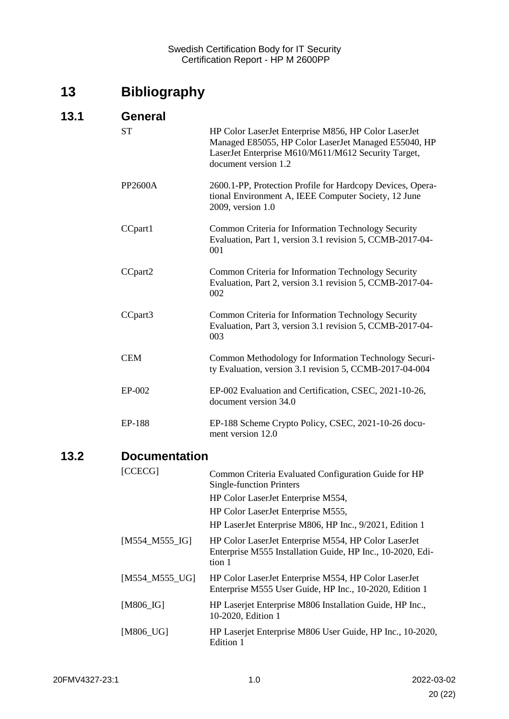# <span id="page-20-0"></span>**13 Bibliography**

<span id="page-20-2"></span><span id="page-20-1"></span>

| 13.1 | <b>General</b>       |                                                                                                                                                                                             |  |  |
|------|----------------------|---------------------------------------------------------------------------------------------------------------------------------------------------------------------------------------------|--|--|
|      | <b>ST</b>            | HP Color LaserJet Enterprise M856, HP Color LaserJet<br>Managed E85055, HP Color LaserJet Managed E55040, HP<br>LaserJet Enterprise M610/M611/M612 Security Target,<br>document version 1.2 |  |  |
|      | <b>PP2600A</b>       | 2600.1-PP, Protection Profile for Hardcopy Devices, Opera-<br>tional Environment A, IEEE Computer Society, 12 June<br>2009, version 1.0                                                     |  |  |
|      | CCpart1              | Common Criteria for Information Technology Security<br>Evaluation, Part 1, version 3.1 revision 5, CCMB-2017-04-<br>001                                                                     |  |  |
|      | CCpart2              | Common Criteria for Information Technology Security<br>Evaluation, Part 2, version 3.1 revision 5, CCMB-2017-04-<br>002                                                                     |  |  |
|      | CCpart3              | Common Criteria for Information Technology Security<br>Evaluation, Part 3, version 3.1 revision 5, CCMB-2017-04-<br>003                                                                     |  |  |
|      | <b>CEM</b>           | Common Methodology for Information Technology Securi-<br>ty Evaluation, version 3.1 revision 5, CCMB-2017-04-004                                                                            |  |  |
|      | EP-002               | EP-002 Evaluation and Certification, CSEC, 2021-10-26,<br>document version 34.0                                                                                                             |  |  |
|      | EP-188               | EP-188 Scheme Crypto Policy, CSEC, 2021-10-26 docu-<br>ment version 12.0                                                                                                                    |  |  |
| 13.2 | <b>Documentation</b> |                                                                                                                                                                                             |  |  |
|      | [CCECG]              | Common Criteria Evaluated Configuration Guide for HP<br><b>Single-function Printers</b>                                                                                                     |  |  |
|      |                      | HP Color LaserJet Enterprise M554,                                                                                                                                                          |  |  |
|      |                      | HP Color LaserJet Enterprise M555,                                                                                                                                                          |  |  |
|      |                      | HP LaserJet Enterprise M806, HP Inc., 9/2021, Edition 1                                                                                                                                     |  |  |
|      | $[M554_M555_K]$      | HP Color LaserJet Enterprise M554, HP Color LaserJet<br>Enterprise M555 Installation Guide, HP Inc., 10-2020, Edi-<br>tion 1                                                                |  |  |
|      | $[M554_M555_UG]$     | HP Color LaserJet Enterprise M554, HP Color LaserJet<br>Enterprise M555 User Guide, HP Inc., 10-2020, Edition 1                                                                             |  |  |
|      | $[M806_G]$           | HP Laserjet Enterprise M806 Installation Guide, HP Inc.,<br>10-2020, Edition 1                                                                                                              |  |  |
|      | $[M806_UG]$          | HP Laserjet Enterprise M806 User Guide, HP Inc., 10-2020,<br>Edition 1                                                                                                                      |  |  |